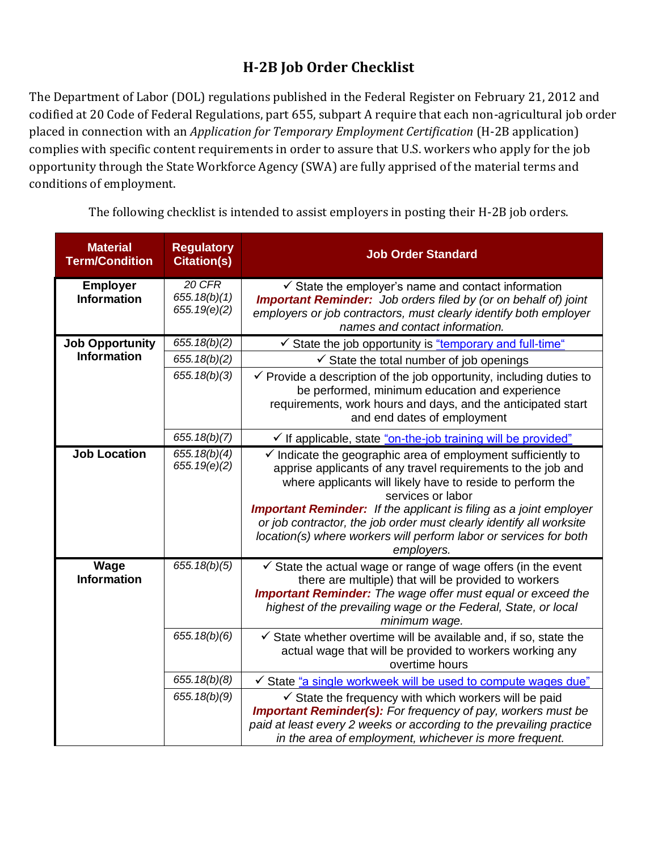## **H-2B Job Order Checklist**

The Department of Labor (DOL) regulations published in the Federal Register on February 21, 2012 and codified at 20 Code of Federal Regulations, part 655, subpart A require that each non-agricultural job order placed in connection with an *Application for Temporary Employment Certification* (H-2B application) complies with specific content requirements in order to assure that U.S. workers who apply for the job opportunity through the State Workforce Agency (SWA) are fully apprised of the material terms and conditions of employment.

| <b>Material</b><br><b>Term/Condition</b>     | <b>Regulatory</b><br><b>Citation(s)</b> | <b>Job Order Standard</b>                                                                                                                                                                                                                                                                                                                                                                                                                                         |
|----------------------------------------------|-----------------------------------------|-------------------------------------------------------------------------------------------------------------------------------------------------------------------------------------------------------------------------------------------------------------------------------------------------------------------------------------------------------------------------------------------------------------------------------------------------------------------|
| <b>Employer</b><br><b>Information</b>        | 20 CFR<br>655.18(b)(1)<br>655.19(e)(2)  | $\checkmark$ State the employer's name and contact information<br><b>Important Reminder:</b> Job orders filed by (or on behalf of) joint<br>employers or job contractors, must clearly identify both employer<br>names and contact information.                                                                                                                                                                                                                   |
| <b>Job Opportunity</b><br><b>Information</b> | 655.18(b)(2)                            | Grate the job opportunity is "temporary and full-time"                                                                                                                                                                                                                                                                                                                                                                                                            |
|                                              | 655.18(b)(2)                            | $\checkmark$ State the total number of job openings                                                                                                                                                                                                                                                                                                                                                                                                               |
|                                              | 655.18(b)(3)                            | $\checkmark$ Provide a description of the job opportunity, including duties to<br>be performed, minimum education and experience<br>requirements, work hours and days, and the anticipated start<br>and end dates of employment                                                                                                                                                                                                                                   |
|                                              | 655.18(b)(7)                            | √ If applicable, state "on-the-job training will be provided"                                                                                                                                                                                                                                                                                                                                                                                                     |
| <b>Job Location</b>                          | 655.18(b)(4)<br>655.19(e)(2)            | $\checkmark$ Indicate the geographic area of employment sufficiently to<br>apprise applicants of any travel requirements to the job and<br>where applicants will likely have to reside to perform the<br>services or labor<br><b>Important Reminder:</b> If the applicant is filing as a joint employer<br>or job contractor, the job order must clearly identify all worksite<br>location(s) where workers will perform labor or services for both<br>employers. |
| Wage<br><b>Information</b>                   | 655.18(b)(5)                            | $\checkmark$ State the actual wage or range of wage offers (in the event<br>there are multiple) that will be provided to workers<br><b>Important Reminder:</b> The wage offer must equal or exceed the<br>highest of the prevailing wage or the Federal, State, or local<br>minimum wage.                                                                                                                                                                         |
|                                              | 655.18(b)(6)                            | $\checkmark$ State whether overtime will be available and, if so, state the<br>actual wage that will be provided to workers working any<br>overtime hours                                                                                                                                                                                                                                                                                                         |
|                                              | 655.18(b)(8)                            | State "a single workweek will be used to compute wages due"                                                                                                                                                                                                                                                                                                                                                                                                       |
|                                              | 655.18(b)(9)                            | $\checkmark$ State the frequency with which workers will be paid<br><b>Important Reminder(s):</b> For frequency of pay, workers must be<br>paid at least every 2 weeks or according to the prevailing practice<br>in the area of employment, whichever is more frequent.                                                                                                                                                                                          |

The following checklist is intended to assist employers in posting their H-2B job orders.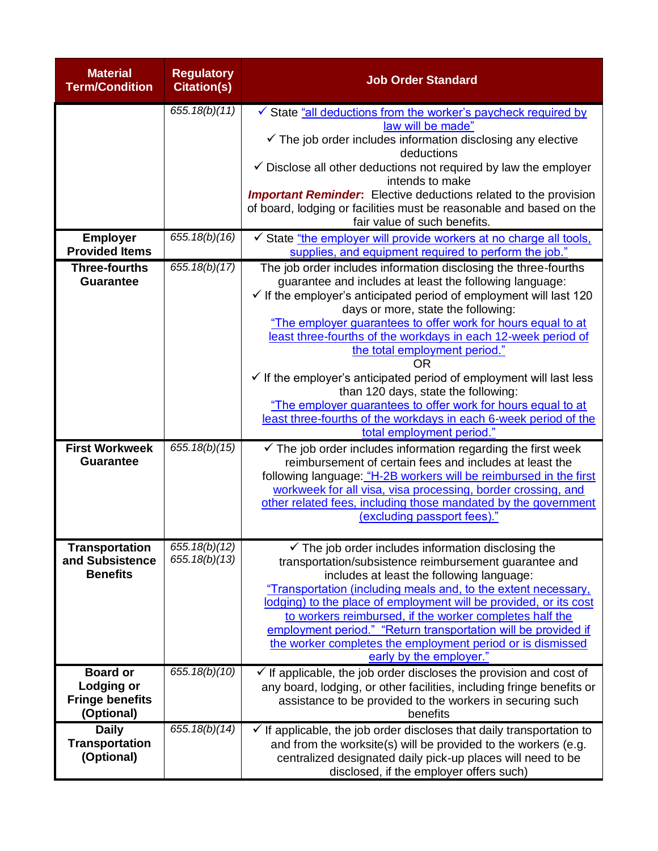| <b>Material</b><br><b>Term/Condition</b>                                     | <b>Regulatory</b><br><b>Citation(s)</b> | <b>Job Order Standard</b>                                                                                                                                                                                                                                                                                                                                                                                                                                                                                                                                                                                                                                                                                                                                                                       |
|------------------------------------------------------------------------------|-----------------------------------------|-------------------------------------------------------------------------------------------------------------------------------------------------------------------------------------------------------------------------------------------------------------------------------------------------------------------------------------------------------------------------------------------------------------------------------------------------------------------------------------------------------------------------------------------------------------------------------------------------------------------------------------------------------------------------------------------------------------------------------------------------------------------------------------------------|
|                                                                              | 655.18(b)(11)                           | $\checkmark$ State "all deductions from the worker's paycheck required by<br>law will be made"<br>$\checkmark$ The job order includes information disclosing any elective<br>deductions<br>$\checkmark$ Disclose all other deductions not required by law the employer<br>intends to make<br><b>Important Reminder:</b> Elective deductions related to the provision<br>of board, lodging or facilities must be reasonable and based on the<br>fair value of such benefits.                                                                                                                                                                                                                                                                                                                     |
| <b>Employer</b><br><b>Provided Items</b>                                     | 655.18(b)(16)                           | Grate "the employer will provide workers at no charge all tools,<br>supplies, and equipment required to perform the job."                                                                                                                                                                                                                                                                                                                                                                                                                                                                                                                                                                                                                                                                       |
| <b>Three-fourths</b><br><b>Guarantee</b><br><b>First Workweek</b>            | 655.18(b)(17)<br>655.18(b)(15)          | The job order includes information disclosing the three-fourths<br>guarantee and includes at least the following language:<br>$\checkmark$ If the employer's anticipated period of employment will last 120<br>days or more, state the following:<br>"The employer guarantees to offer work for hours equal to at<br>least three-fourths of the workdays in each 12-week period of<br>the total employment period."<br>0R<br>$\checkmark$ If the employer's anticipated period of employment will last less<br>than 120 days, state the following:<br>"The employer guarantees to offer work for hours equal to at<br>least three-fourths of the workdays in each 6-week period of the<br>total employment period."<br>$\checkmark$ The job order includes information regarding the first week |
| <b>Guarantee</b>                                                             |                                         | reimbursement of certain fees and includes at least the<br>following language: "H-2B workers will be reimbursed in the first<br>workweek for all visa, visa processing, border crossing, and<br>other related fees, including those mandated by the government<br>(excluding passport fees)."                                                                                                                                                                                                                                                                                                                                                                                                                                                                                                   |
| <b>Transportation</b><br>and Subsistence<br><b>Benefits</b>                  | 655.18(b)(12)<br>655.18(b)(13)          | $\checkmark$ The job order includes information disclosing the<br>transportation/subsistence reimbursement guarantee and<br>includes at least the following language:<br>"Transportation (including meals and, to the extent necessary,<br>lodging) to the place of employment will be provided, or its cost<br>to workers reimbursed, if the worker completes half the<br>employment period." "Return transportation will be provided if<br>the worker completes the employment period or is dismissed<br>early by the employer."                                                                                                                                                                                                                                                              |
| <b>Board or</b><br><b>Lodging or</b><br><b>Fringe benefits</b><br>(Optional) | 655.18(b)(10)                           | $\checkmark$ If applicable, the job order discloses the provision and cost of<br>any board, lodging, or other facilities, including fringe benefits or<br>assistance to be provided to the workers in securing such<br>benefits                                                                                                                                                                                                                                                                                                                                                                                                                                                                                                                                                                 |
| <b>Daily</b><br><b>Transportation</b><br>(Optional)                          | 655.18(b)(14)                           | $\checkmark$ If applicable, the job order discloses that daily transportation to<br>and from the worksite(s) will be provided to the workers (e.g.<br>centralized designated daily pick-up places will need to be<br>disclosed, if the employer offers such)                                                                                                                                                                                                                                                                                                                                                                                                                                                                                                                                    |